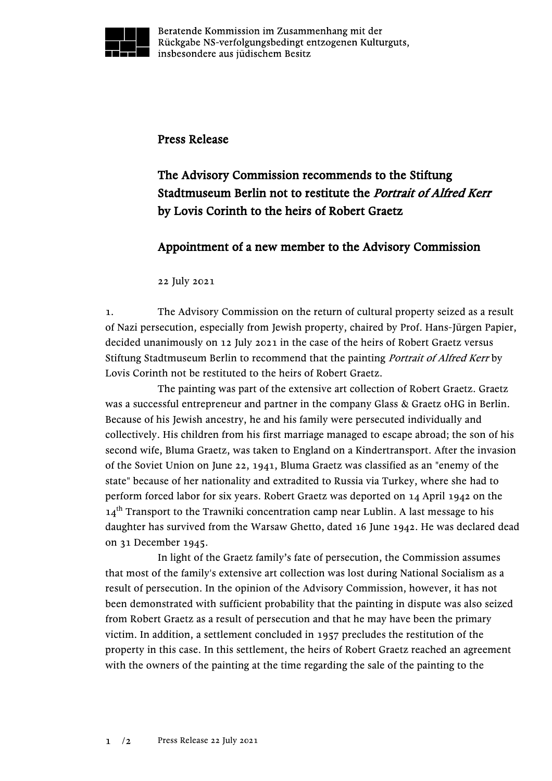

Beratende Kommission im Zusammenhang mit der Rückgabe NS-verfolgungsbedingt entzogenen Kulturguts, insbesondere aus jüdischem Besitz

## Press Release

## The Advisory Commission recommends to the Stiftung Stadtmuseum Berlin not to restitute the Portrait of Alfred Kerr by Lovis Corinth to the heirs of Robert Graetz

## Appointment of a new member to the Advisory Commission

## 22 July 2021

1. The Advisory Commission on the return of cultural property seized as a result of Nazi persecution, especially from Jewish property, chaired by Prof. Hans-Jürgen Papier, decided unanimously on 12 July 2021 in the case of the heirs of Robert Graetz versus Stiftung Stadtmuseum Berlin to recommend that the painting Portrait of Alfred Kerr by Lovis Corinth not be restituted to the heirs of Robert Graetz.

The painting was part of the extensive art collection of Robert Graetz. Graetz was a successful entrepreneur and partner in the company Glass & Graetz oHG in Berlin. Because of his Jewish ancestry, he and his family were persecuted individually and collectively. His children from his first marriage managed to escape abroad; the son of his second wife, Bluma Graetz, was taken to England on a Kindertransport. After the invasion of the Soviet Union on June 22, 1941, Bluma Graetz was classified as an "enemy of the state" because of her nationality and extradited to Russia via Turkey, where she had to perform forced labor for six years. Robert Graetz was deported on 14 April 1942 on the  $14<sup>th</sup>$  Transport to the Trawniki concentration camp near Lublin. A last message to his daughter has survived from the Warsaw Ghetto, dated 16 June 1942. He was declared dead on 31 December 1945.

In light of the Graetz family's fate of persecution, the Commission assumes that most of the family's extensive art collection was lost during National Socialism as a result of persecution. In the opinion of the Advisory Commission, however, it has not been demonstrated with sufficient probability that the painting in dispute was also seized from Robert Graetz as a result of persecution and that he may have been the primary victim. In addition, a settlement concluded in 1957 precludes the restitution of the property in this case. In this settlement, the heirs of Robert Graetz reached an agreement with the owners of the painting at the time regarding the sale of the painting to the